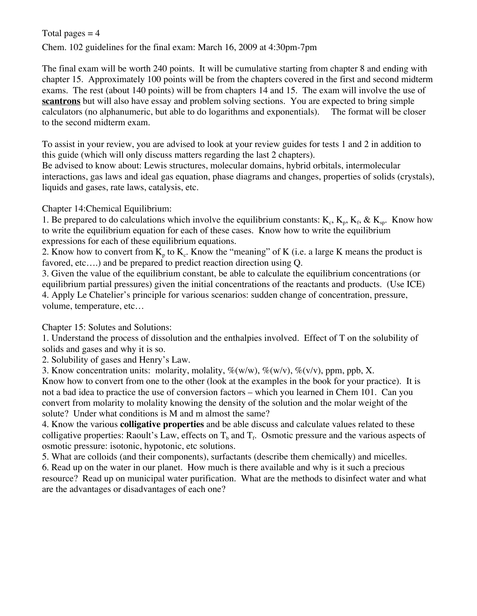## Total pages  $= 4$

Chem. 102 guidelines for the final exam: March 16, 2009 at 4:30pm-7pm

The final exam will be worth 240 points. It will be cumulative starting from chapter 8 and ending with chapter 15. Approximately 100 points will be from the chapters covered in the first and second midterm exams. The rest (about 140 points) will be from chapters 14 and 15. The exam will involve the use of **scantrons** but will also have essay and problem solving sections. You are expected to bring simple calculators (no alphanumeric, but able to do logarithms and exponentials). The format will be closer to the second midterm exam.

To assist in your review, you are advised to look at your review guides for tests 1 and 2 in addition to this guide (which will only discuss matters regarding the last 2 chapters).

Be advised to know about: Lewis structures, molecular domains, hybrid orbitals, intermolecular interactions, gas laws and ideal gas equation, phase diagrams and changes, properties of solids (crystals), liquids and gases, rate laws, catalysis, etc.

## Chapter 14:Chemical Equilibrium:

1. Be prepared to do calculations which involve the equilibrium constants:  $K_c$ ,  $K_p$ ,  $K_f$ ,  $\&$   $K_{sp}$ . Know how to write the equilibrium equation for each of these cases. Know how to write the equilibrium expressions for each of these equilibrium equations.

2. Know how to convert from  $K_p$  to  $K_c$ . Know the "meaning" of K (i.e. a large K means the product is favored, etc….) and be prepared to predict reaction direction using Q.

3. Given the value of the equilibrium constant, be able to calculate the equilibrium concentrations (or equilibrium partial pressures) given the initial concentrations of the reactants and products. (Use ICE) 4. Apply Le Chatelier's principle for various scenarios: sudden change of concentration, pressure, volume, temperature, etc…

Chapter 15: Solutes and Solutions:

1. Understand the process of dissolution and the enthalpies involved. Effect of T on the solubility of solids and gases and why it is so.

2. Solubility of gases and Henry's Law.

3. Know concentration units: molarity, molality,  $\mathcal{K}(w/w)$ ,  $\mathcal{K}(w/v)$ ,  $\mathcal{K}(v/v)$ , ppm, ppb, X.

Know how to convert from one to the other (look at the examples in the book for your practice). It is not a bad idea to practice the use of conversion factors – which you learned in Chem 101. Can you convert from molarity to molality knowing the density of the solution and the molar weight of the solute? Under what conditions is M and m almost the same?

4. Know the various **colligative properties** and be able discuss and calculate values related to these colligative properties: Raoult's Law, effects on  $T_b$  and  $T_f$ . Osmotic pressure and the various aspects of osmotic pressure: isotonic, hypotonic, etc solutions.

5. What are colloids (and their components), surfactants (describe them chemically) and micelles. 6. Read up on the water in our planet. How much is there available and why is it such a precious resource? Read up on municipal water purification. What are the methods to disinfect water and what are the advantages or disadvantages of each one?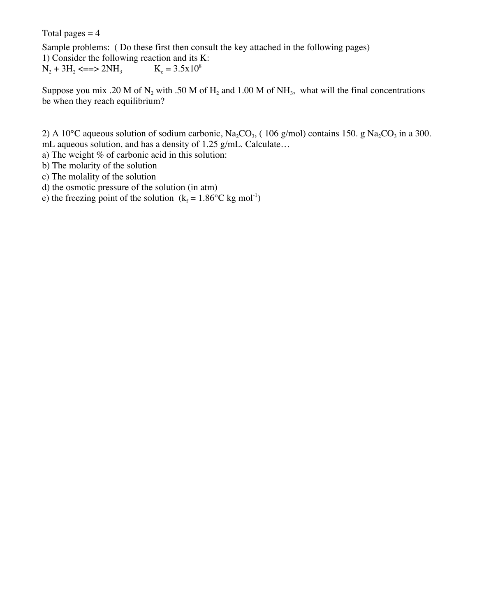Total pages  $= 4$ 

Sample problems: ( Do these first then consult the key attached in the following pages) 1) Consider the following reaction and its K:  $N_2 + 3H_2 \leq z \leq 2NH_3$   $K_c = 3.5x10^8$ 

Suppose you mix .20 M of N<sub>2</sub> with .50 M of H<sub>2</sub> and 1.00 M of NH<sub>3</sub>, what will the final concentrations be when they reach equilibrium?

2) A 10°C aqueous solution of sodium carbonic, Na<sub>2</sub>CO<sub>3</sub>, (106 g/mol) contains 150. g Na<sub>2</sub>CO<sub>3</sub> in a 300. mL aqueous solution, and has a density of 1.25 g/mL. Calculate…

a) The weight  $%$  of carbonic acid in this solution:

b) The molarity of the solution

c) The molality of the solution

d) the osmotic pressure of the solution (in atm)

e) the freezing point of the solution  $(k_f = 1.86^{\circ}C \text{ kg mol}^{-1})$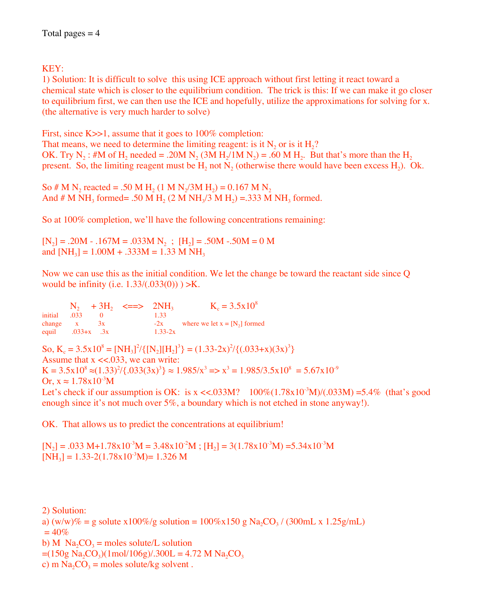## KEY:

1) Solution: It is difficult to solve this using ICE approach without first letting it react toward a chemical state which is closer to the equilibrium condition. The trick is this: If we can make it go closer to equilibrium first, we can then use the ICE and hopefully, utilize the approximations for solving for x. (the alternative is very much harder to solve)

First, since K $>>1$ , assume that it goes to 100% completion:

That means, we need to determine the limiting reagent: is it  $N_2$  or is it  $H_2$ ? OK. Try N<sub>2</sub>: #M of H<sub>2</sub> needed = .20M N<sub>2</sub> (3M H<sub>2</sub>/1M N<sub>2</sub>) = .60 M H<sub>2</sub>. But that's more than the H<sub>2</sub> present. So, the limiting reagent must be  $H_2$  not  $N_2$  (otherwise there would have been excess  $H_2$ ). Ok.

So # M N<sub>2</sub> reacted = .50 M H<sub>2</sub> (1 M N<sub>2</sub>/3M H<sub>2</sub>) = 0.167 M N<sub>2</sub> And # M NH<sub>3</sub> formed= .50 M H<sub>2</sub> (2 M NH<sub>3</sub>/3 M H<sub>2</sub>) = .333 M NH<sub>3</sub> formed.

So at 100% completion, we'll have the following concentrations remaining:

 $[N_2] = .20M - .167M = .033M N_2$ ;  $[H_2] = .50M - .50M = 0 M$ and  $[NH_3] = 1.00M + .333M = 1.33M NH_3$ 

Now we can use this as the initial condition. We let the change be toward the reactant side since Q would be infinity (i.e.  $1.33/(0.033(0))$ ) >K.

 $N_2$  + 3H<sub>2</sub> <==> 2NH<sub>3</sub> K<sub>c</sub> = 3.5x10<sup>8</sup><br>initial .033 0 1.33  $\frac{0}{3x}$ change  $x$  3x  $-2x$  where we let  $x = [N_2]$  formed<br>equil  $.033+x$   $.3x$   $1.33-2x$  $.033+x$  .3x

So,  $K_c = 3.5x10^8 = [NH_3]^2 / \{ [N_2] [H_2]^3 \} = (1.33-2x)^2 / \{ (.033+x)(3x)^3 \}$ Assume that  $x \ll 0.033$ , we can write:  $K = 3.5 \times 10^8 \approx (1.33)^2 / \{.033(3x)^3\} \approx 1.985/x^3 \Rightarrow x^3 = 1.985/3.5 \times 10^8 = 5.67 \times 10^9$ Or,  $x \approx 1.78x10^{-3}M$ Let's check if our assumption is OK: is  $x \ll 0.033M$ ?  $100\%(1.78x10^{3}M)/(0.033M) = 5.4\%$  (that's good enough since it's not much over 5%, a boundary which is not etched in stone anyway!).

OK. That allows us to predict the concentrations at equilibrium!

 $[N_2] = .033 \text{ M} + 1.78 \text{ x} 10^{3} \text{M} = 3.48 \text{ x} 10^{2} \text{M}$ ;  $[H_2] = 3(1.78 \text{ x} 10^{3} \text{M}) = 5.34 \text{ x} 10^{3} \text{M}$  $[NH_3] = 1.33 - 2(1.78 \times 10^{-3} M) = 1.326 M$ 

2) Solution: a)  $(w/w)\% = g$  solute x100%/g solution = 100%x150 g Na<sub>2</sub>CO<sub>3</sub> / (300mL x 1.25g/mL)  $= 40\%$ b) M  $\text{Na}_2\text{CO}_3$  = moles solute/L solution  $=(150g Na<sub>2</sub>CO<sub>3</sub>)(1mol/106g)/.300L = 4.72 M Na<sub>2</sub>CO<sub>3</sub>$ c) m  $Na_2CO_3$  = moles solute/kg solvent.